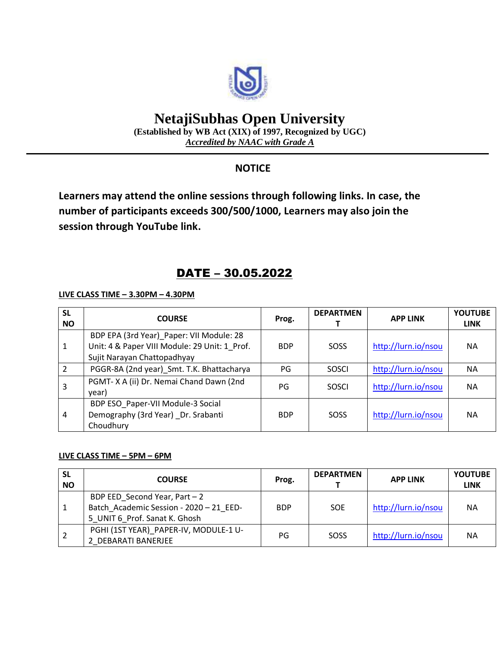

# **NetajiSubhas Open University**

**(Established by WB Act (XIX) of 1997, Recognized by UGC)** *Accredited by NAAC with Grade A*

### **NOTICE**

**Learners may attend the online sessions through following links. In case, the number of participants exceeds 300/500/1000, Learners may also join the session through YouTube link.**

## DATE – 30.05.2022

**LIVE CLASS TIME – 3.30PM – 4.30PM**

| <b>SL</b><br><b>NO</b> | <b>COURSE</b>                                                                                                            | Prog.      | <b>DEPARTMEN</b> | <b>APP LINK</b>     | <b>YOUTUBE</b><br><b>LINK</b> |
|------------------------|--------------------------------------------------------------------------------------------------------------------------|------------|------------------|---------------------|-------------------------------|
| 1                      | BDP EPA (3rd Year)_Paper: VII Module: 28<br>Unit: 4 & Paper VIII Module: 29 Unit: 1 Prof.<br>Sujit Narayan Chattopadhyay | <b>BDP</b> | <b>SOSS</b>      | http://lurn.io/nsou | <b>NA</b>                     |
| $\overline{2}$         | PGGR-8A (2nd year)_Smt. T.K. Bhattacharya                                                                                | PG         | <b>SOSCI</b>     | http://lurn.io/nsou | <b>NA</b>                     |
| 3                      | PGMT-XA (ii) Dr. Nemai Chand Dawn (2nd<br>year)                                                                          | PG         | SOSCI            | http://lurn.io/nsou | <b>NA</b>                     |
| 4                      | BDP ESO Paper-VII Module-3 Social<br>Demography (3rd Year) _Dr. Srabanti<br>Choudhury                                    | <b>BDP</b> | SOSS             | http://lurn.io/nsou | <b>NA</b>                     |

#### **LIVE CLASS TIME – 5PM – 6PM**

| <b>SL</b><br><b>NO</b> | <b>COURSE</b>                                                                                             | Prog.      | <b>DEPARTMEN</b> | <b>APP LINK</b>     | <b>YOUTUBE</b><br><b>LINK</b> |
|------------------------|-----------------------------------------------------------------------------------------------------------|------------|------------------|---------------------|-------------------------------|
|                        | BDP EED Second Year, Part - 2<br>Batch Academic Session - 2020 - 21 EED-<br>5 UNIT 6 Prof. Sanat K. Ghosh | <b>BDP</b> | <b>SOE</b>       | http://lurn.io/nsou | <b>NA</b>                     |
| 2                      | PGHI (1ST YEAR) PAPER-IV, MODULE-1 U-<br>2 DEBARATI BANERJEE                                              | PG         | SOSS             | http://lurn.io/nsou | <b>NA</b>                     |